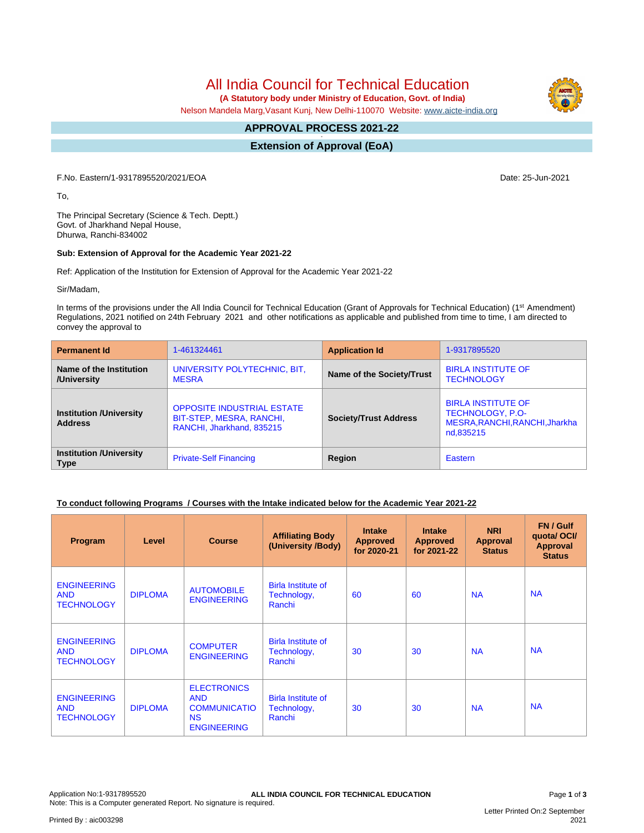All India Council for Technical Education  **(A Statutory body under Ministry of Education, Govt. of India)**

Nelson Mandela Marg,Vasant Kunj, New Delhi-110070 Website: [www.aicte-india.org](http://www.aicte-india.org)

#### **APPROVAL PROCESS 2021-22 -**

**Extension of Approval (EoA)**

F.No. Eastern/1-9317895520/2021/EOA Date: 25-Jun-2021

To,

The Principal Secretary (Science & Tech. Deptt.) Govt. of Jharkhand Nepal House, Dhurwa, Ranchi-834002

## **Sub: Extension of Approval for the Academic Year 2021-22**

Ref: Application of the Institution for Extension of Approval for the Academic Year 2021-22

Sir/Madam,

In terms of the provisions under the All India Council for Technical Education (Grant of Approvals for Technical Education) (1<sup>st</sup> Amendment) Regulations, 2021 notified on 24th February 2021 and other notifications as applicable and published from time to time, I am directed to convey the approval to

| <b>Permanent Id</b>                              | 1-461324461                                                                                | <b>Application Id</b>        | 1-9317895520                                                                                        |  |
|--------------------------------------------------|--------------------------------------------------------------------------------------------|------------------------------|-----------------------------------------------------------------------------------------------------|--|
| Name of the Institution<br>/University           | UNIVERSITY POLYTECHNIC, BIT,<br><b>MESRA</b>                                               | Name of the Society/Trust    | <b>BIRLA INSTITUTE OF</b><br><b>TECHNOLOGY</b>                                                      |  |
| <b>Institution /University</b><br><b>Address</b> | <b>OPPOSITE INDUSTRIAL ESTATE</b><br>BIT-STEP, MESRA, RANCHI,<br>RANCHI, Jharkhand, 835215 | <b>Society/Trust Address</b> | <b>BIRLA INSTITUTE OF</b><br><b>TECHNOLOGY, P.O-</b><br>MESRA, RANCHI, RANCHI, Jharkha<br>nd,835215 |  |
| <b>Institution /University</b><br><b>Type</b>    | <b>Private-Self Financing</b>                                                              | Region                       | Eastern                                                                                             |  |

## **To conduct following Programs / Courses with the Intake indicated below for the Academic Year 2021-22**

| Program                                               | Level          | <b>Course</b>                                                                              | <b>Affiliating Body</b><br>(University /Body)      | <b>Intake</b><br><b>Approved</b><br>for 2020-21 | <b>Intake</b><br><b>Approved</b><br>for 2021-22 | <b>NRI</b><br><b>Approval</b><br><b>Status</b> | FN / Gulf<br>quotal OCI/<br><b>Approval</b><br><b>Status</b> |
|-------------------------------------------------------|----------------|--------------------------------------------------------------------------------------------|----------------------------------------------------|-------------------------------------------------|-------------------------------------------------|------------------------------------------------|--------------------------------------------------------------|
| <b>ENGINEERING</b><br><b>AND</b><br><b>TECHNOLOGY</b> | <b>DIPLOMA</b> | <b>AUTOMOBILE</b><br><b>ENGINEERING</b>                                                    | <b>Birla Institute of</b><br>Technology,<br>Ranchi | 60                                              | 60                                              | <b>NA</b>                                      | <b>NA</b>                                                    |
| <b>ENGINEERING</b><br><b>AND</b><br><b>TECHNOLOGY</b> | <b>DIPLOMA</b> | <b>COMPUTER</b><br><b>ENGINEERING</b>                                                      | <b>Birla Institute of</b><br>Technology,<br>Ranchi | 30                                              | 30                                              | <b>NA</b>                                      | <b>NA</b>                                                    |
| <b>ENGINEERING</b><br><b>AND</b><br><b>TECHNOLOGY</b> | <b>DIPLOMA</b> | <b>ELECTRONICS</b><br><b>AND</b><br><b>COMMUNICATIO</b><br><b>NS</b><br><b>ENGINEERING</b> | <b>Birla Institute of</b><br>Technology,<br>Ranchi | 30                                              | 30                                              | <b>NA</b>                                      | <b>NA</b>                                                    |

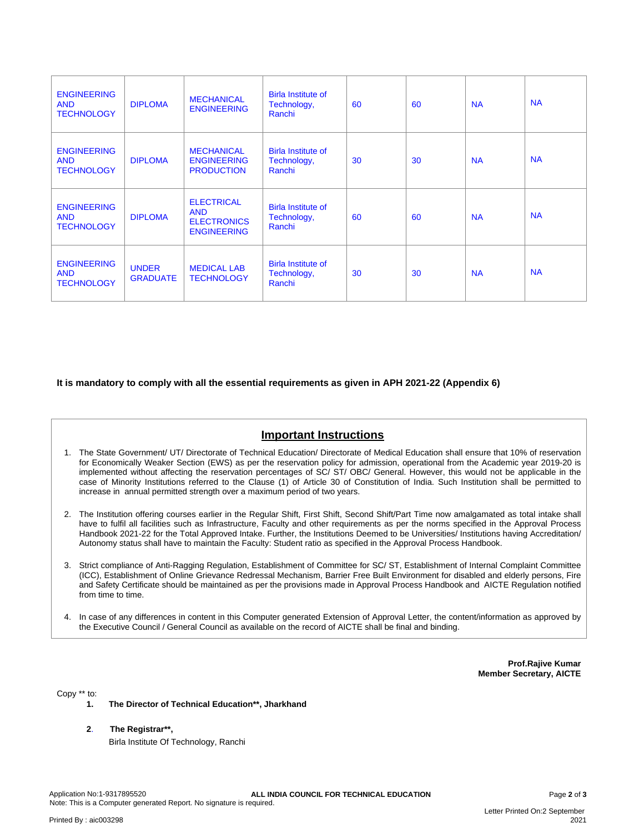| <b>ENGINEERING</b><br><b>AND</b><br><b>TECHNOLOGY</b> | <b>DIPLOMA</b>                  | <b>MECHANICAL</b><br><b>ENGINEERING</b>                                     | <b>Birla Institute of</b><br>Technology,<br>Ranchi | 60 | 60 | <b>NA</b> | <b>NA</b> |
|-------------------------------------------------------|---------------------------------|-----------------------------------------------------------------------------|----------------------------------------------------|----|----|-----------|-----------|
| <b>ENGINEERING</b><br><b>AND</b><br><b>TECHNOLOGY</b> | <b>DIPLOMA</b>                  | <b>MECHANICAL</b><br><b>ENGINEERING</b><br><b>PRODUCTION</b>                | <b>Birla Institute of</b><br>Technology,<br>Ranchi | 30 | 30 | <b>NA</b> | <b>NA</b> |
| <b>ENGINEERING</b><br><b>AND</b><br><b>TECHNOLOGY</b> | <b>DIPLOMA</b>                  | <b>ELECTRICAL</b><br><b>AND</b><br><b>ELECTRONICS</b><br><b>ENGINEERING</b> | <b>Birla Institute of</b><br>Technology,<br>Ranchi | 60 | 60 | <b>NA</b> | <b>NA</b> |
| <b>ENGINEERING</b><br><b>AND</b><br><b>TECHNOLOGY</b> | <b>UNDER</b><br><b>GRADUATE</b> | <b>MEDICAL LAB</b><br><b>TECHNOLOGY</b>                                     | <b>Birla Institute of</b><br>Technology,<br>Ranchi | 30 | 30 | <b>NA</b> | <b>NA</b> |

**It is mandatory to comply with all the essential requirements as given in APH 2021-22 (Appendix 6)**

# **Important Instructions**

- 1. The State Government/ UT/ Directorate of Technical Education/ Directorate of Medical Education shall ensure that 10% of reservation for Economically Weaker Section (EWS) as per the reservation policy for admission, operational from the Academic year 2019-20 is implemented without affecting the reservation percentages of SC/ ST/ OBC/ General. However, this would not be applicable in the case of Minority Institutions referred to the Clause (1) of Article 30 of Constitution of India. Such Institution shall be permitted to increase in annual permitted strength over a maximum period of two years.
- 2. The Institution offering courses earlier in the Regular Shift, First Shift, Second Shift/Part Time now amalgamated as total intake shall have to fulfil all facilities such as Infrastructure, Faculty and other requirements as per the norms specified in the Approval Process Handbook 2021-22 for the Total Approved Intake. Further, the Institutions Deemed to be Universities/ Institutions having Accreditation/ Autonomy status shall have to maintain the Faculty: Student ratio as specified in the Approval Process Handbook.
- 3. Strict compliance of Anti-Ragging Regulation, Establishment of Committee for SC/ ST, Establishment of Internal Complaint Committee (ICC), Establishment of Online Grievance Redressal Mechanism, Barrier Free Built Environment for disabled and elderly persons, Fire and Safety Certificate should be maintained as per the provisions made in Approval Process Handbook and AICTE Regulation notified from time to time.
- 4. In case of any differences in content in this Computer generated Extension of Approval Letter, the content/information as approved by the Executive Council / General Council as available on the record of AICTE shall be final and binding.

**Prof.Rajive Kumar Member Secretary, AICTE**

Copy \*\* to:

- **1. The Director of Technical Education\*\*, Jharkhand**
- **2**. **The Registrar\*\*,** Birla Institute Of Technology, Ranchi